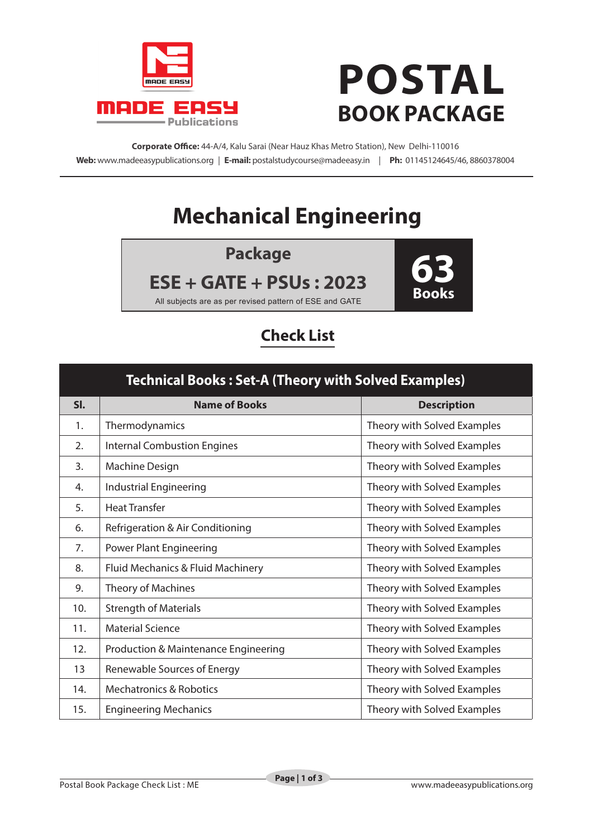

# **POSTAL BOOK PACKAGE**

**Corporate Office:** 44-A/4, Kalu Sarai (Near Hauz Khas Metro Station), New Delhi-110016 **Web:** www.madeeasypublications.org | **E-mail:** postalstudycourse@madeeasy.in | **Ph:** 01145124645/46, 8860378004

## **Mechanical Engineering**

**Package**

**ESE + GATE + PSUs : 2023**



All subjects are as per revised pattern of ESE and GATE

### **Check List**

| <b>Technical Books: Set-A (Theory with Solved Examples)</b> |                                                 |                             |  |  |
|-------------------------------------------------------------|-------------------------------------------------|-----------------------------|--|--|
| SI.                                                         | <b>Name of Books</b>                            | <b>Description</b>          |  |  |
| 1.                                                          | Thermodynamics                                  | Theory with Solved Examples |  |  |
| 2.                                                          | <b>Internal Combustion Engines</b>              | Theory with Solved Examples |  |  |
| $\overline{3}$ .                                            | Machine Design                                  | Theory with Solved Examples |  |  |
| 4.                                                          | <b>Industrial Engineering</b>                   | Theory with Solved Examples |  |  |
| 5.                                                          | <b>Heat Transfer</b>                            | Theory with Solved Examples |  |  |
| 6.                                                          | Refrigeration & Air Conditioning                | Theory with Solved Examples |  |  |
| 7.                                                          | <b>Power Plant Engineering</b>                  | Theory with Solved Examples |  |  |
| 8.                                                          | Fluid Mechanics & Fluid Machinery               | Theory with Solved Examples |  |  |
| 9.                                                          | Theory of Machines                              | Theory with Solved Examples |  |  |
| 10.                                                         | <b>Strength of Materials</b>                    | Theory with Solved Examples |  |  |
| 11.                                                         | <b>Material Science</b>                         | Theory with Solved Examples |  |  |
| 12.                                                         | <b>Production &amp; Maintenance Engineering</b> | Theory with Solved Examples |  |  |
| 13                                                          | Renewable Sources of Energy                     | Theory with Solved Examples |  |  |
| 14.                                                         | <b>Mechatronics &amp; Robotics</b>              | Theory with Solved Examples |  |  |
| 15.                                                         | <b>Engineering Mechanics</b>                    | Theory with Solved Examples |  |  |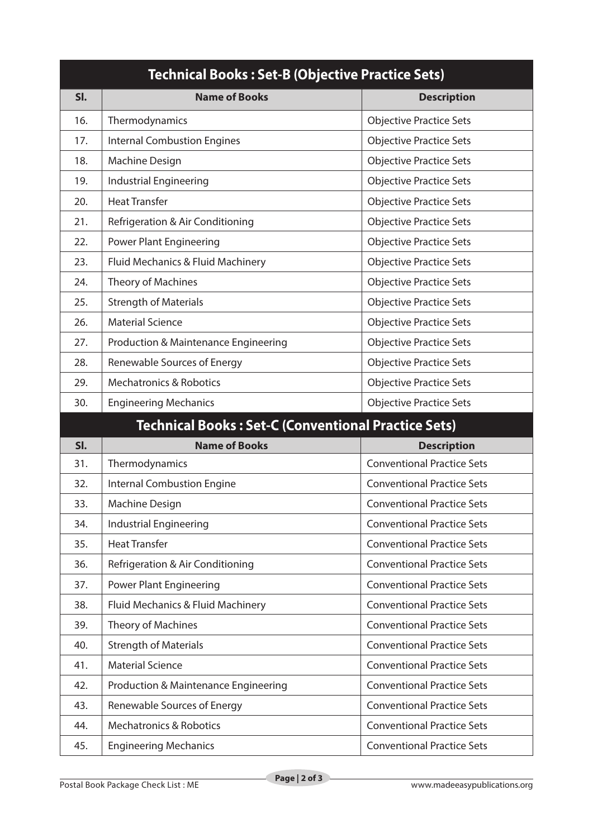| <b>Technical Books: Set-B (Objective Practice Sets)</b> |                                                            |                                   |  |  |
|---------------------------------------------------------|------------------------------------------------------------|-----------------------------------|--|--|
| SI.                                                     | <b>Name of Books</b>                                       | <b>Description</b>                |  |  |
| 16.                                                     | Thermodynamics                                             | <b>Objective Practice Sets</b>    |  |  |
| 17.                                                     | <b>Internal Combustion Engines</b>                         | <b>Objective Practice Sets</b>    |  |  |
| 18.                                                     | <b>Machine Design</b>                                      | <b>Objective Practice Sets</b>    |  |  |
| 19.                                                     | Industrial Engineering                                     | <b>Objective Practice Sets</b>    |  |  |
| 20.                                                     | <b>Heat Transfer</b>                                       | <b>Objective Practice Sets</b>    |  |  |
| 21.                                                     | Refrigeration & Air Conditioning                           | <b>Objective Practice Sets</b>    |  |  |
| 22.                                                     | <b>Power Plant Engineering</b>                             | <b>Objective Practice Sets</b>    |  |  |
| 23.                                                     | Fluid Mechanics & Fluid Machinery                          | <b>Objective Practice Sets</b>    |  |  |
| 24.                                                     | Theory of Machines                                         | <b>Objective Practice Sets</b>    |  |  |
| 25.                                                     | <b>Strength of Materials</b>                               | <b>Objective Practice Sets</b>    |  |  |
| 26.                                                     | <b>Material Science</b>                                    | <b>Objective Practice Sets</b>    |  |  |
| 27.                                                     | Production & Maintenance Engineering                       | <b>Objective Practice Sets</b>    |  |  |
| 28.                                                     | Renewable Sources of Energy                                | <b>Objective Practice Sets</b>    |  |  |
| 29.                                                     | <b>Mechatronics &amp; Robotics</b>                         | <b>Objective Practice Sets</b>    |  |  |
| 30.                                                     | <b>Engineering Mechanics</b>                               | <b>Objective Practice Sets</b>    |  |  |
|                                                         | <b>Technical Books: Set-C (Conventional Practice Sets)</b> |                                   |  |  |
| SI.                                                     | <b>Name of Books</b>                                       | <b>Description</b>                |  |  |
| 31.                                                     | Thermodynamics                                             | <b>Conventional Practice Sets</b> |  |  |
| 32.                                                     | <b>Internal Combustion Engine</b>                          | <b>Conventional Practice Sets</b> |  |  |
| 33.                                                     | <b>Machine Design</b>                                      | <b>Conventional Practice Sets</b> |  |  |
| 34.                                                     | Industrial Engineering                                     | <b>Conventional Practice Sets</b> |  |  |
| 35.                                                     | <b>Heat Transfer</b>                                       | <b>Conventional Practice Sets</b> |  |  |
| 36.                                                     | Refrigeration & Air Conditioning                           | <b>Conventional Practice Sets</b> |  |  |
| 37.                                                     | <b>Power Plant Engineering</b>                             | <b>Conventional Practice Sets</b> |  |  |
| 38.                                                     | Fluid Mechanics & Fluid Machinery                          | <b>Conventional Practice Sets</b> |  |  |
| 39.                                                     | Theory of Machines                                         | <b>Conventional Practice Sets</b> |  |  |
| 40.                                                     | <b>Strength of Materials</b>                               | <b>Conventional Practice Sets</b> |  |  |
| 41.                                                     | <b>Material Science</b>                                    | <b>Conventional Practice Sets</b> |  |  |
| 42.                                                     | Production & Maintenance Engineering                       | <b>Conventional Practice Sets</b> |  |  |
| 43.                                                     | Renewable Sources of Energy                                | <b>Conventional Practice Sets</b> |  |  |
| 44.                                                     | <b>Mechatronics &amp; Robotics</b>                         | <b>Conventional Practice Sets</b> |  |  |
| 45.                                                     | <b>Engineering Mechanics</b>                               | <b>Conventional Practice Sets</b> |  |  |